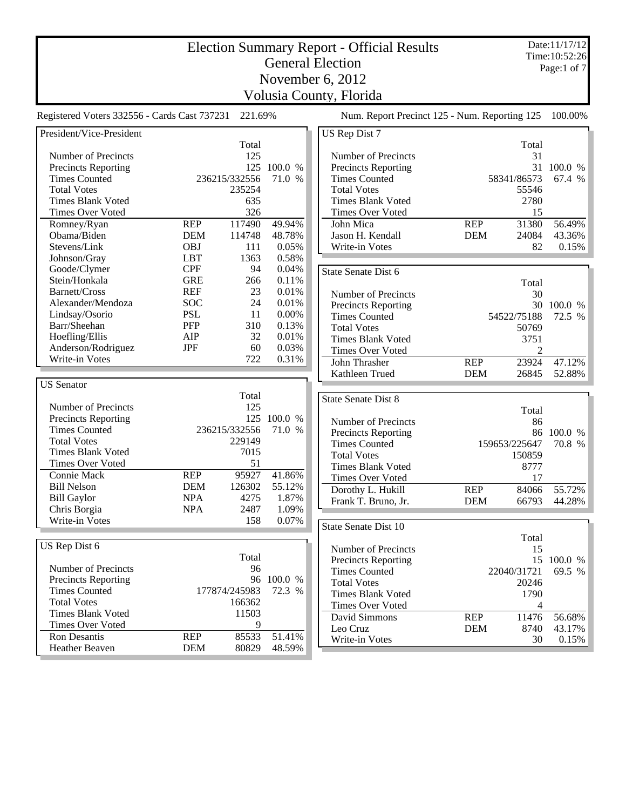## Election Summary Report - Official Results General Election November 6, 2012

Date:11/17/12 Time:10:52:26 Page:1 of 7

|                                                                                                                                                                                                           |                                                                                                |                                                         |                                                                      | Volusia County, Florida                                                                                                                                                                            |                          |                                                                     |                                |
|-----------------------------------------------------------------------------------------------------------------------------------------------------------------------------------------------------------|------------------------------------------------------------------------------------------------|---------------------------------------------------------|----------------------------------------------------------------------|----------------------------------------------------------------------------------------------------------------------------------------------------------------------------------------------------|--------------------------|---------------------------------------------------------------------|--------------------------------|
| Registered Voters 332556 - Cards Cast 737231                                                                                                                                                              |                                                                                                | 221.69%                                                 |                                                                      | Num. Report Precinct 125 - Num. Reporting 125                                                                                                                                                      |                          |                                                                     | 100.00%                        |
| President/Vice-President                                                                                                                                                                                  |                                                                                                |                                                         |                                                                      | US Rep Dist 7                                                                                                                                                                                      |                          |                                                                     |                                |
| Number of Precincts<br>Precincts Reporting<br><b>Times Counted</b><br><b>Total Votes</b><br><b>Times Blank Voted</b>                                                                                      | 236215/332556                                                                                  | Total<br>125<br>235254<br>635<br>326                    | 125 100.0 %<br>71.0<br>$\%$                                          | Number of Precincts<br><b>Precincts Reporting</b><br><b>Times Counted</b><br><b>Total Votes</b><br><b>Times Blank Voted</b>                                                                        |                          | Total<br>31<br>31<br>58341/86573<br>55546<br>2780<br>15             | 100.0 %<br>67.4 %              |
| <b>Times Over Voted</b><br>Romney/Ryan<br>Obama/Biden<br>Stevens/Link<br>Johnson/Gray                                                                                                                     | <b>REP</b><br><b>DEM</b><br>OBJ<br><b>LBT</b>                                                  | 117490<br>114748<br>111<br>1363                         | 49.94%<br>48.78%<br>0.05%<br>0.58%                                   | <b>Times Over Voted</b><br>John Mica<br>Jason H. Kendall<br>Write-in Votes                                                                                                                         | <b>REP</b><br><b>DEM</b> | 31380<br>24084<br>82                                                | 56.49%<br>43.36%<br>0.15%      |
| Goode/Clymer<br>Stein/Honkala<br>Barnett/Cross<br>Alexander/Mendoza<br>Lindsay/Osorio<br>Barr/Sheehan<br>Hoefling/Ellis<br>Anderson/Rodriguez                                                             | <b>CPF</b><br><b>GRE</b><br><b>REF</b><br><b>SOC</b><br><b>PSL</b><br>PFP<br>AIP<br><b>JPF</b> | 94<br>266<br>23<br>24<br>11<br>310<br>32<br>60          | 0.04%<br>0.11%<br>0.01%<br>0.01%<br>0.00%<br>0.13%<br>0.01%<br>0.03% | State Senate Dist 6<br>Number of Precincts<br><b>Precincts Reporting</b><br><b>Times Counted</b><br><b>Total Votes</b><br><b>Times Blank Voted</b><br>Times Over Voted                             |                          | Total<br>30<br>30<br>54522/75188<br>50769<br>3751<br>$\overline{2}$ | 100.0 %<br>72.5 %              |
| Write-in Votes                                                                                                                                                                                            |                                                                                                | 722                                                     | 0.31%                                                                | John Thrasher<br>Kathleen Trued                                                                                                                                                                    | <b>REP</b><br><b>DEM</b> | 23924<br>26845                                                      | 47.12%<br>52.88%               |
| <b>US</b> Senator<br>Number of Precincts<br>Precincts Reporting<br><b>Times Counted</b><br><b>Total Votes</b><br><b>Times Blank Voted</b><br><b>Times Over Voted</b><br>Connie Mack<br><b>Bill Nelson</b> | 236215/332556<br><b>REP</b><br><b>DEM</b>                                                      | Total<br>125<br>229149<br>7015<br>51<br>95927<br>126302 | 125 100.0 %<br>71.0 %<br>41.86%<br>55.12%                            | <b>State Senate Dist 8</b><br>Number of Precincts<br><b>Precincts Reporting</b><br><b>Times Counted</b><br><b>Total Votes</b><br><b>Times Blank Voted</b><br>Times Over Voted<br>Dorothy L. Hukill | <b>REP</b>               | Total<br>86<br>159653/225647<br>150859<br>8777<br>17<br>84066       | 86 100.0 %<br>70.8 %<br>55.72% |
| <b>Bill Gaylor</b><br>Chris Borgia                                                                                                                                                                        | <b>NPA</b><br><b>NPA</b>                                                                       | 4275<br>2487                                            | 1.87%<br>1.09%                                                       | Frank T. Bruno, Jr.                                                                                                                                                                                | <b>DEM</b>               | 66793                                                               | 44.28%                         |
| Write-in Votes                                                                                                                                                                                            |                                                                                                | 158                                                     | 0.07%                                                                | State Senate Dist 10                                                                                                                                                                               |                          |                                                                     |                                |
| US Rep Dist 6<br>Number of Precincts<br><b>Precincts Reporting</b><br><b>Times Counted</b><br><b>Total Votes</b>                                                                                          | 177874/245983                                                                                  | Total<br>96<br>166362                                   | 96 100.0 %<br>72.3 %                                                 | Number of Precincts<br><b>Precincts Reporting</b><br><b>Times Counted</b><br><b>Total Votes</b><br><b>Times Blank Voted</b><br>Times Over Voted                                                    |                          | Total<br>15<br>22040/31721<br>20246<br>1790<br>4                    | 15 100.0 %<br>69.5 %           |
| <b>Times Blank Voted</b><br>Times Over Voted<br>Ron Desantis<br>Heather Beaven                                                                                                                            | <b>REP</b><br><b>DEM</b>                                                                       | 11503<br>9<br>85533<br>80829                            | 51.41%<br>48.59%                                                     | David Simmons<br>Leo Cruz<br>Write-in Votes                                                                                                                                                        | <b>REP</b><br><b>DEM</b> | 11476<br>8740<br>30                                                 | 56.68%<br>43.17%<br>0.15%      |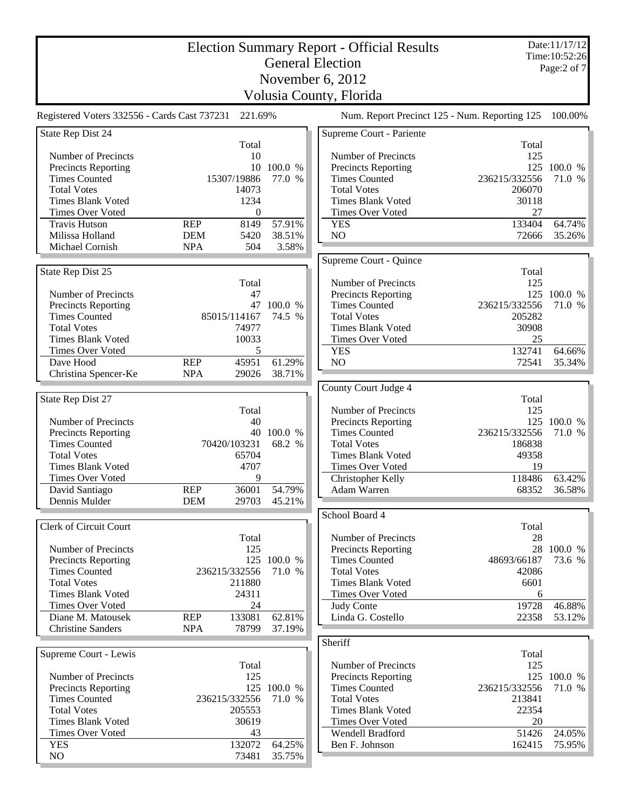|                                                   |                          | Date:11/17/12<br>Time: 10:52:26 |                       |                                                    |                         |                      |  |  |  |
|---------------------------------------------------|--------------------------|---------------------------------|-----------------------|----------------------------------------------------|-------------------------|----------------------|--|--|--|
|                                                   |                          | Page:2 of 7                     |                       |                                                    |                         |                      |  |  |  |
| November 6, 2012                                  |                          |                                 |                       |                                                    |                         |                      |  |  |  |
|                                                   | Volusia County, Florida  |                                 |                       |                                                    |                         |                      |  |  |  |
| Registered Voters 332556 - Cards Cast 737231      |                          | 221.69%                         |                       | Num. Report Precinct 125 - Num. Reporting 125      |                         | 100.00%              |  |  |  |
| State Rep Dist 24                                 |                          |                                 |                       | Supreme Court - Pariente                           |                         |                      |  |  |  |
| Number of Precincts                               |                          | Total<br>10                     |                       | Number of Precincts                                | Total<br>125            |                      |  |  |  |
| <b>Precincts Reporting</b>                        |                          |                                 | 10 100.0 %            | <b>Precincts Reporting</b>                         |                         | 125 100.0 %          |  |  |  |
| <b>Times Counted</b>                              | 15307/19886              |                                 | 77.0 %                | <b>Times Counted</b>                               | 236215/332556           | 71.0 %               |  |  |  |
| <b>Total Votes</b>                                |                          | 14073                           |                       | <b>Total Votes</b>                                 | 206070                  |                      |  |  |  |
| <b>Times Blank Voted</b>                          |                          | 1234                            |                       | <b>Times Blank Voted</b>                           | 30118                   |                      |  |  |  |
| Times Over Voted<br><b>Travis Hutson</b>          | <b>REP</b>               | $\boldsymbol{0}$<br>8149        | 57.91%                | Times Over Voted<br><b>YES</b>                     | 27<br>133404            | 64.74%               |  |  |  |
| Milissa Holland                                   | <b>DEM</b>               | 5420                            | 38.51%                | N <sub>O</sub>                                     | 72666                   | 35.26%               |  |  |  |
| Michael Cornish                                   | <b>NPA</b>               | 504                             | 3.58%                 |                                                    |                         |                      |  |  |  |
|                                                   |                          |                                 |                       | Supreme Court - Quince                             |                         |                      |  |  |  |
| State Rep Dist 25                                 |                          | Total                           |                       | Number of Precincts                                | Total<br>125            |                      |  |  |  |
| Number of Precincts                               |                          | 47                              |                       | <b>Precincts Reporting</b>                         |                         | 125 100.0 %          |  |  |  |
| <b>Precincts Reporting</b>                        |                          |                                 | 47 100.0 %            | <b>Times Counted</b>                               | 236215/332556           | 71.0 %               |  |  |  |
| <b>Times Counted</b>                              | 85015/114167             |                                 | 74.5 %                | <b>Total Votes</b>                                 | 205282                  |                      |  |  |  |
| <b>Total Votes</b>                                |                          | 74977                           |                       | <b>Times Blank Voted</b>                           | 30908                   |                      |  |  |  |
| <b>Times Blank Voted</b><br>Times Over Voted      |                          | 10033<br>5                      |                       | <b>Times Over Voted</b><br><b>YES</b>              | 25<br>132741            | 64.66%               |  |  |  |
| Dave Hood                                         | <b>REP</b>               | 45951                           | 61.29%                | NO                                                 | 72541                   | 35.34%               |  |  |  |
| Christina Spencer-Ke                              | <b>NPA</b>               | 29026                           | 38.71%                |                                                    |                         |                      |  |  |  |
|                                                   | County Court Judge 4     |                                 |                       |                                                    |                         |                      |  |  |  |
| State Rep Dist 27                                 |                          |                                 |                       |                                                    | Total                   |                      |  |  |  |
|                                                   |                          | Total<br>40                     |                       | Number of Precincts                                | 125                     | 125 100.0 %          |  |  |  |
| Number of Precincts<br>Precincts Reporting        |                          |                                 | 40 100.0 %            | <b>Precincts Reporting</b><br><b>Times Counted</b> | 236215/332556           | 71.0 %               |  |  |  |
| <b>Times Counted</b>                              | 70420/103231             |                                 | 68.2 %                | <b>Total Votes</b>                                 | 186838                  |                      |  |  |  |
| <b>Total Votes</b>                                |                          | 65704                           |                       | <b>Times Blank Voted</b>                           | 49358                   |                      |  |  |  |
| <b>Times Blank Voted</b>                          |                          | 4707                            |                       | Times Over Voted                                   | 19                      |                      |  |  |  |
| Times Over Voted<br>David Santiago                | <b>REP</b>               | 9<br>36001                      | 54.79%                | Christopher Kelly<br>Adam Warren                   | 118486<br>68352         | 63.42%<br>36.58%     |  |  |  |
| Dennis Mulder                                     | <b>DEM</b>               | 29703                           | 45.21%                |                                                    |                         |                      |  |  |  |
|                                                   |                          |                                 |                       | School Board 4                                     |                         |                      |  |  |  |
| <b>Clerk of Circuit Court</b>                     |                          |                                 |                       |                                                    | Total                   |                      |  |  |  |
|                                                   |                          | Total                           |                       | Number of Precincts                                | 28                      |                      |  |  |  |
| Number of Precincts<br><b>Precincts Reporting</b> |                          | 125                             | 125 100.0 %           | <b>Precincts Reporting</b><br><b>Times Counted</b> | 48693/66187             | 28 100.0 %<br>73.6 % |  |  |  |
| <b>Times Counted</b>                              | 236215/332556            |                                 | 71.0 %                | <b>Total Votes</b>                                 | 42086                   |                      |  |  |  |
| <b>Total Votes</b>                                |                          | 211880                          |                       | <b>Times Blank Voted</b>                           | 6601                    |                      |  |  |  |
| <b>Times Blank Voted</b>                          |                          | 24311                           |                       | <b>Times Over Voted</b>                            | 6                       |                      |  |  |  |
| <b>Times Over Voted</b>                           |                          | 24                              |                       | Judy Conte                                         | 19728                   | 46.88%               |  |  |  |
| Diane M. Matousek<br><b>Christine Sanders</b>     | <b>REP</b><br><b>NPA</b> | 133081<br>78799                 | 62.81%<br>37.19%      | Linda G. Costello                                  | 22358                   | 53.12%               |  |  |  |
|                                                   |                          |                                 |                       | Sheriff                                            |                         |                      |  |  |  |
| Supreme Court - Lewis                             |                          |                                 |                       |                                                    | Total                   |                      |  |  |  |
|                                                   |                          | Total                           |                       | Number of Precincts                                | 125                     |                      |  |  |  |
| Number of Precincts                               |                          | 125                             |                       | <b>Precincts Reporting</b>                         |                         | 125 100.0 %          |  |  |  |
| Precincts Reporting<br><b>Times Counted</b>       | 236215/332556            |                                 | 125 100.0 %<br>71.0 % | <b>Times Counted</b><br><b>Total Votes</b>         | 236215/332556<br>213841 | 71.0 %               |  |  |  |
| <b>Total Votes</b>                                |                          | 205553                          |                       | <b>Times Blank Voted</b>                           | 22354                   |                      |  |  |  |
| <b>Times Blank Voted</b>                          |                          | 30619                           |                       | Times Over Voted                                   | 20                      |                      |  |  |  |
| Times Over Voted                                  |                          | 43                              |                       | Wendell Bradford                                   | 51426                   | 24.05%               |  |  |  |
| <b>YES</b><br>NO                                  |                          | 132072<br>73481                 | 64.25%                | Ben F. Johnson                                     | 162415                  | 75.95%               |  |  |  |
|                                                   |                          |                                 | 35.75%                |                                                    |                         |                      |  |  |  |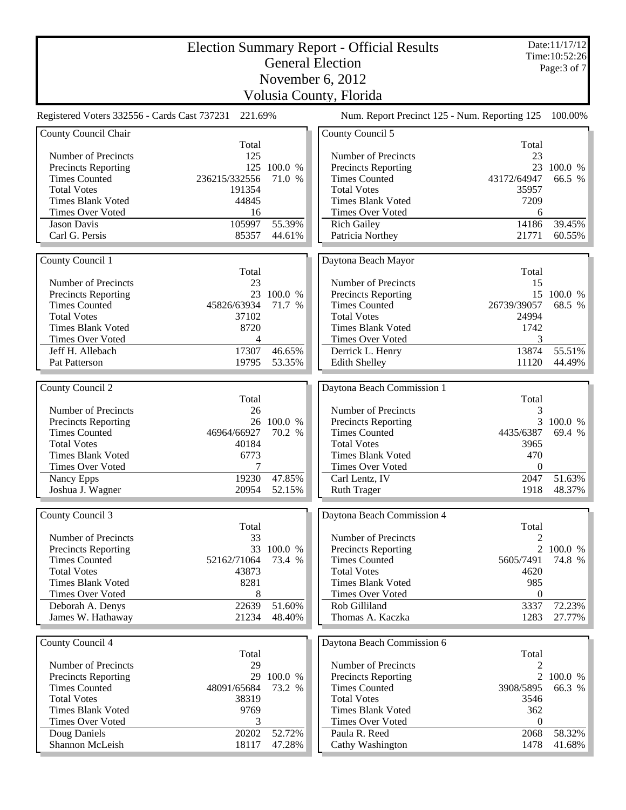| <b>Election Summary Report - Official Results</b>                                                                                                                                                               |                                                                           | Date:11/17/12<br>Time: 10:52:26<br>Page: 3 of 7 |                                                                                                                                                                                                                           |                                                                                      |                                            |  |  |
|-----------------------------------------------------------------------------------------------------------------------------------------------------------------------------------------------------------------|---------------------------------------------------------------------------|-------------------------------------------------|---------------------------------------------------------------------------------------------------------------------------------------------------------------------------------------------------------------------------|--------------------------------------------------------------------------------------|--------------------------------------------|--|--|
| November 6, 2012<br>Volusia County, Florida                                                                                                                                                                     |                                                                           |                                                 |                                                                                                                                                                                                                           |                                                                                      |                                            |  |  |
| Registered Voters 332556 - Cards Cast 737231                                                                                                                                                                    | 221.69%                                                                   |                                                 | Num. Report Precinct 125 - Num. Reporting 125                                                                                                                                                                             |                                                                                      | 100.00%                                    |  |  |
| County Council Chair<br>Number of Precincts<br><b>Precincts Reporting</b><br><b>Times Counted</b><br><b>Total Votes</b><br><b>Times Blank Voted</b><br>Times Over Voted<br><b>Jason Davis</b><br>Carl G. Persis | Total<br>125<br>236215/332556<br>191354<br>44845<br>16<br>105997<br>85357 | 125 100.0 %<br>71.0 %<br>55.39%<br>44.61%       | County Council 5<br>Number of Precincts<br>Precincts Reporting<br><b>Times Counted</b><br><b>Total Votes</b><br><b>Times Blank Voted</b><br><b>Times Over Voted</b><br><b>Rich Gailey</b><br>Patricia Northey             | Total<br>23<br>43172/64947<br>35957<br>7209<br>6<br>14186<br>21771                   | 23 100.0 %<br>66.5 %<br>39.45%<br>60.55%   |  |  |
| County Council 1<br>Number of Precincts<br><b>Precincts Reporting</b><br><b>Times Counted</b><br><b>Total Votes</b><br><b>Times Blank Voted</b><br><b>Times Over Voted</b><br>Jeff H. Allebach<br>Pat Patterson | Total<br>23<br>45826/63934<br>37102<br>8720<br>4<br>17307<br>19795        | 23 100.0 %<br>71.7<br>$\%$<br>46.65%<br>53.35%  | Daytona Beach Mayor<br>Number of Precincts<br><b>Precincts Reporting</b><br><b>Times Counted</b><br><b>Total Votes</b><br><b>Times Blank Voted</b><br>Times Over Voted<br>Derrick L. Henry<br><b>Edith Shelley</b>        | Total<br>15<br>15<br>26739/39057<br>24994<br>1742<br>3<br>13874<br>11120             | 100.0 %<br>68.5 %<br>55.51%<br>44.49%      |  |  |
| County Council 2<br>Number of Precincts<br><b>Precincts Reporting</b><br><b>Times Counted</b><br><b>Total Votes</b><br><b>Times Blank Voted</b><br><b>Times Over Voted</b><br>Nancy Epps<br>Joshua J. Wagner    | Total<br>26<br>46964/66927<br>40184<br>6773<br>7<br>19230<br>20954        | 26 100.0 %<br>70.2 %<br>47.85%<br>52.15%        | Daytona Beach Commission 1<br>Number of Precincts<br>Precincts Reporting<br><b>Times Counted</b><br><b>Total Votes</b><br><b>Times Blank Voted</b><br><b>Times Over Voted</b><br>Carl Lentz, IV<br><b>Ruth Trager</b>     | Total<br>3<br>4435/6387<br>3965<br>470<br>$\theta$<br>2047<br>1918                   | 3 100.0 %<br>69.4 %<br>51.63%<br>48.37%    |  |  |
| County Council 3<br>Number of Precincts<br><b>Precincts Reporting</b><br><b>Times Counted</b><br><b>Total Votes</b><br><b>Times Blank Voted</b><br>Times Over Voted<br>Deborah A. Denys<br>James W. Hathaway    | Total<br>33<br>52162/71064<br>43873<br>8281<br>8<br>22639<br>21234        | 33 100.0 %<br>73.4 %<br>51.60%<br>48.40%        | Daytona Beach Commission 4<br>Number of Precincts<br><b>Precincts Reporting</b><br><b>Times Counted</b><br><b>Total Votes</b><br><b>Times Blank Voted</b><br><b>Times Over Voted</b><br>Rob Gilliland<br>Thomas A. Kaczka | Total<br>2<br>$\overline{2}$<br>5605/7491<br>4620<br>985<br>$\theta$<br>3337<br>1283 | 100.0 %<br>74.8 %<br>72.23%<br>27.77%      |  |  |
| County Council 4<br>Number of Precincts<br>Precincts Reporting<br><b>Times Counted</b><br><b>Total Votes</b><br><b>Times Blank Voted</b><br><b>Times Over Voted</b><br>Doug Daniels<br>Shannon McLeish          | Total<br>29<br>48091/65684<br>38319<br>9769<br>3<br>20202<br>18117        | 29 100.0 %<br>73.2 %<br>52.72%<br>47.28%        | Daytona Beach Commission 6<br>Number of Precincts<br>Precincts Reporting<br><b>Times Counted</b><br><b>Total Votes</b><br><b>Times Blank Voted</b><br>Times Over Voted<br>Paula R. Reed<br>Cathy Washington               | Total<br>2<br>3908/5895<br>3546<br>362<br>$\theta$<br>2068<br>1478                   | 2 100.0 $\%$<br>66.3 %<br>58.32%<br>41.68% |  |  |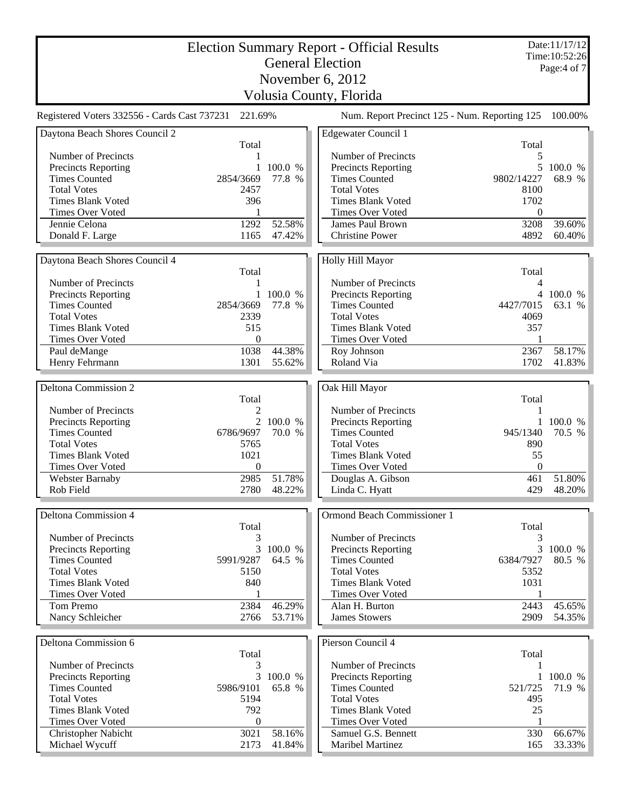| <b>Election Summary Report - Official Results</b><br>November 6, 2012                                                                                                                                                                                                                                       | Date:11/17/12<br>Time: 10:52:26<br>Page:4 of 7 |                                                                                                                                                                                                                                    |                                                                               |                                         |  |  |  |
|-------------------------------------------------------------------------------------------------------------------------------------------------------------------------------------------------------------------------------------------------------------------------------------------------------------|------------------------------------------------|------------------------------------------------------------------------------------------------------------------------------------------------------------------------------------------------------------------------------------|-------------------------------------------------------------------------------|-----------------------------------------|--|--|--|
| Volusia County, Florida                                                                                                                                                                                                                                                                                     |                                                |                                                                                                                                                                                                                                    |                                                                               |                                         |  |  |  |
| 221.69%<br>Registered Voters 332556 - Cards Cast 737231                                                                                                                                                                                                                                                     |                                                | Num. Report Precinct 125 - Num. Reporting 125                                                                                                                                                                                      |                                                                               | 100.00%                                 |  |  |  |
| Daytona Beach Shores Council 2<br>Total<br>Number of Precincts<br><b>Precincts Reporting</b><br>$\mathbf{1}$<br><b>Times Counted</b><br>2854/3669<br><b>Total Votes</b><br>2457<br><b>Times Blank Voted</b><br>396<br>Times Over Voted<br>Jennie Celona<br>1292<br>Donald F. Large<br>1165                  | 100.0 %<br>77.8 %<br>52.58%<br>47.42%          | <b>Edgewater Council 1</b><br>Number of Precincts<br><b>Precincts Reporting</b><br><b>Times Counted</b><br><b>Total Votes</b><br><b>Times Blank Voted</b><br>Times Over Voted<br><b>James Paul Brown</b><br><b>Christine Power</b> | Total<br>5<br>5<br>9802/14227<br>8100<br>1702<br>$\mathbf{0}$<br>3208<br>4892 | 100.0 %<br>68.9 %<br>39.60%<br>60.40%   |  |  |  |
| Daytona Beach Shores Council 4<br>Total<br>Number of Precincts<br><b>Precincts Reporting</b><br><b>Times Counted</b><br>2854/3669<br><b>Total Votes</b><br>2339<br><b>Times Blank Voted</b><br>515<br>Times Over Voted<br>$\theta$<br>1038<br>Paul deMange<br>Henry Fehrmann<br>1301                        | 1 100.0 %<br>77.8 %<br>44.38%<br>55.62%        | Holly Hill Mayor<br>Number of Precincts<br><b>Precincts Reporting</b><br><b>Times Counted</b><br><b>Total Votes</b><br><b>Times Blank Voted</b><br>Times Over Voted<br>Roy Johnson<br>Roland Via                                   | Total<br>4<br>4427/7015<br>4069<br>357<br>2367<br>1702                        | 4 100.0 %<br>63.1 %<br>58.17%<br>41.83% |  |  |  |
| <b>Deltona Commission 2</b><br>Total<br>Number of Precincts<br>2<br>$\overline{2}$<br>Precincts Reporting<br><b>Times Counted</b><br>6786/9697<br><b>Total Votes</b><br>5765<br><b>Times Blank Voted</b><br>1021<br>$\mathbf{0}$<br>Times Over Voted<br>2985<br><b>Webster Barnaby</b><br>2780<br>Rob Field | 100.0 %<br>70.0 %<br>51.78%<br>48.22%          | Oak Hill Mayor<br>Number of Precincts<br><b>Precincts Reporting</b><br><b>Times Counted</b><br><b>Total Votes</b><br><b>Times Blank Voted</b><br>Times Over Voted<br>Douglas A. Gibson<br>Linda C. Hyatt                           | Total<br>945/1340<br>890<br>55<br>$\mathbf{0}$<br>461<br>429                  | 100.0 %<br>70.5 %<br>51.80%<br>48.20%   |  |  |  |
| <b>Deltona Commission 4</b><br>Total<br>Number of Precincts<br>3<br>Precincts Reporting<br>3<br><b>Times Counted</b><br>5991/9287<br><b>Total Votes</b><br>5150<br><b>Times Blank Voted</b><br>840<br>Times Over Voted<br>1<br>2384<br>Tom Premo<br>Nancy Schleicher<br>2766                                | 100.0 %<br>64.5 %<br>46.29%<br>53.71%          | Ormond Beach Commissioner 1<br>Number of Precincts<br><b>Precincts Reporting</b><br><b>Times Counted</b><br><b>Total Votes</b><br><b>Times Blank Voted</b><br>Times Over Voted<br>Alan H. Burton<br><b>James Stowers</b>           | Total<br>3<br>6384/7927<br>5352<br>1031<br>1<br>2443<br>2909                  | 3 100.0 %<br>80.5 %<br>45.65%<br>54.35% |  |  |  |
| Deltona Commission 6<br>Total<br>Number of Precincts<br>3<br>3<br>Precincts Reporting<br><b>Times Counted</b><br>5986/9101<br><b>Total Votes</b><br>5194<br>792<br><b>Times Blank Voted</b><br>Times Over Voted<br>$\mathbf{0}$<br>Christopher Nabicht<br>3021<br>Michael Wycuff<br>2173                    | 100.0 %<br>65.8 %<br>58.16%<br>41.84%          | Pierson Council 4<br>Number of Precincts<br><b>Precincts Reporting</b><br><b>Times Counted</b><br><b>Total Votes</b><br><b>Times Blank Voted</b><br>Times Over Voted<br>Samuel G.S. Bennett<br>Maribel Martinez                    | Total<br>1<br>521/725<br>495<br>25<br>330<br>165                              | 100.0 %<br>71.9 %<br>66.67%<br>33.33%   |  |  |  |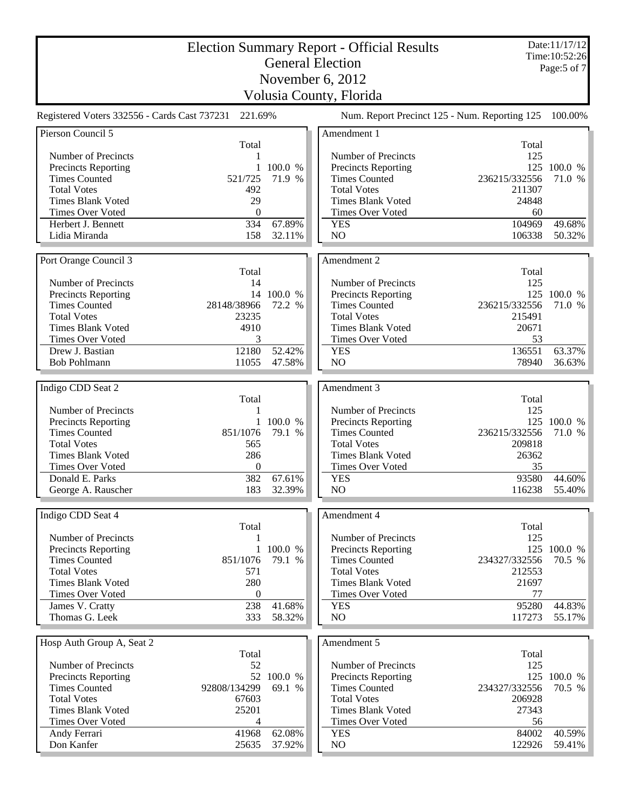| <b>Election Summary Report - Official Results</b>                                                                                                                                                                  |                                                                                          | Date:11/17/12<br>Time: 10:52:26<br>Page:5 of 7 |                                                                                                                                                                                                |                                                                            |                                           |  |
|--------------------------------------------------------------------------------------------------------------------------------------------------------------------------------------------------------------------|------------------------------------------------------------------------------------------|------------------------------------------------|------------------------------------------------------------------------------------------------------------------------------------------------------------------------------------------------|----------------------------------------------------------------------------|-------------------------------------------|--|
| November 6, 2012<br>Volusia County, Florida                                                                                                                                                                        |                                                                                          |                                                |                                                                                                                                                                                                |                                                                            |                                           |  |
| Registered Voters 332556 - Cards Cast 737231                                                                                                                                                                       | 221.69%                                                                                  |                                                | Num. Report Precinct 125 - Num. Reporting 125                                                                                                                                                  |                                                                            | 100.00%                                   |  |
| Pierson Council 5<br>Number of Precincts<br>Precincts Reporting<br><b>Times Counted</b><br><b>Total Votes</b><br><b>Times Blank Voted</b><br>Times Over Voted<br>Herbert J. Bennett<br>Lidia Miranda               | Total<br>1<br>1<br>521/725<br>492<br>29<br>$\Omega$<br>334<br>158                        | 100.0 %<br>71.9 %<br>67.89%<br>32.11%          | Amendment 1<br>Number of Precincts<br>Precincts Reporting<br><b>Times Counted</b><br><b>Total Votes</b><br><b>Times Blank Voted</b><br>Times Over Voted<br><b>YES</b><br>N <sub>O</sub>        | Total<br>125<br>236215/332556<br>211307<br>24848<br>60<br>104969<br>106338 | 125 100.0 %<br>71.0 %<br>49.68%<br>50.32% |  |
| Port Orange Council 3<br>Number of Precincts<br><b>Precincts Reporting</b><br><b>Times Counted</b><br><b>Total Votes</b><br><b>Times Blank Voted</b><br>Times Over Voted<br>Drew J. Bastian<br><b>Bob Pohlmann</b> | Total<br>14<br>28148/38966<br>23235<br>4910<br>3<br>12180<br>11055                       | 14 100.0 %<br>72.2 %<br>52.42%<br>47.58%       | Amendment 2<br>Number of Precincts<br><b>Precincts Reporting</b><br><b>Times Counted</b><br><b>Total Votes</b><br><b>Times Blank Voted</b><br>Times Over Voted<br><b>YES</b><br>N <sub>O</sub> | Total<br>125<br>236215/332556<br>215491<br>20671<br>53<br>136551<br>78940  | 125 100.0 %<br>71.0 %<br>63.37%<br>36.63% |  |
| Indigo CDD Seat 2<br>Number of Precincts<br>Precincts Reporting<br><b>Times Counted</b><br><b>Total Votes</b><br><b>Times Blank Voted</b><br>Times Over Voted<br>Donald E. Parks<br>George A. Rauscher             | Total<br>1<br>1<br>851/1076<br>565<br>286<br>$\boldsymbol{0}$<br>$\overline{382}$<br>183 | 100.0 %<br>79.1 %<br>67.61%<br>32.39%          | Amendment 3<br>Number of Precincts<br>Precincts Reporting<br><b>Times Counted</b><br><b>Total Votes</b><br><b>Times Blank Voted</b><br><b>Times Over Voted</b><br><b>YES</b><br>NO             | Total<br>125<br>236215/332556<br>209818<br>26362<br>35<br>93580<br>116238  | 125 100.0 %<br>71.0 %<br>44.60%<br>55.40% |  |
| Indigo CDD Seat 4<br>Number of Precincts<br><b>Precincts Reporting</b><br><b>Times Counted</b><br><b>Total Votes</b><br><b>Times Blank Voted</b><br><b>Times Over Voted</b><br>James V. Cratty<br>Thomas G. Leek   | Total<br>1<br>851/1076<br>571<br>280<br>$\mathbf{0}$<br>238<br>333                       | 100.0 %<br>79.1 %<br>41.68%<br>58.32%          | Amendment 4<br>Number of Precincts<br><b>Precincts Reporting</b><br><b>Times Counted</b><br><b>Total Votes</b><br><b>Times Blank Voted</b><br>Times Over Voted<br><b>YES</b><br>NO             | Total<br>125<br>234327/332556<br>212553<br>21697<br>77<br>95280<br>117273  | 125 100.0 %<br>70.5 %<br>44.83%<br>55.17% |  |
| Hosp Auth Group A, Seat 2<br>Number of Precincts<br><b>Precincts Reporting</b><br><b>Times Counted</b><br><b>Total Votes</b><br><b>Times Blank Voted</b><br>Times Over Voted<br>Andy Ferrari<br>Don Kanfer         | Total<br>52<br>92808/134299<br>67603<br>25201<br>$\overline{4}$<br>41968<br>25635        | 52 100.0 %<br>69.1 %<br>62.08%<br>37.92%       | Amendment 5<br>Number of Precincts<br>Precincts Reporting<br><b>Times Counted</b><br><b>Total Votes</b><br><b>Times Blank Voted</b><br>Times Over Voted<br><b>YES</b><br>NO                    | Total<br>125<br>234327/332556<br>206928<br>27343<br>56<br>84002<br>122926  | 125 100.0 %<br>70.5 %<br>40.59%<br>59.41% |  |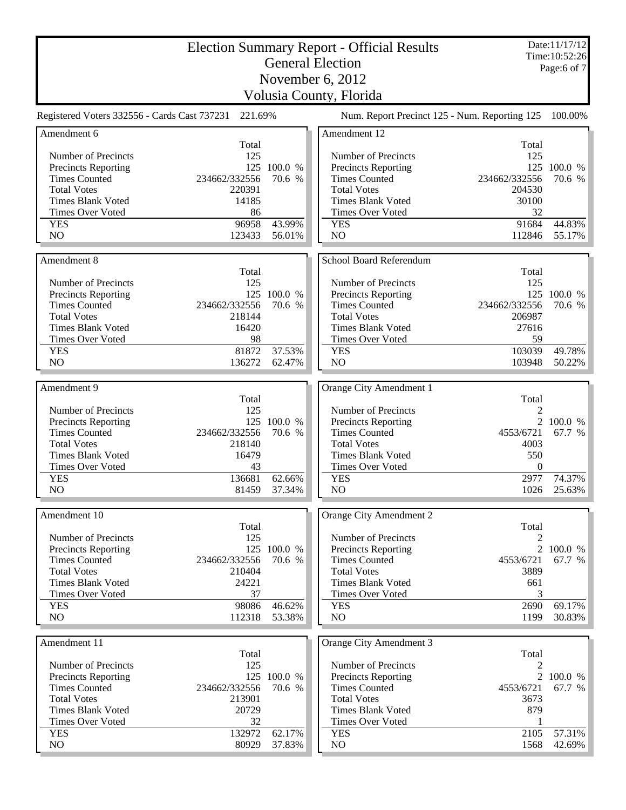|                                                                                                                                                                                    | Date:11/17/12<br>Time: 10:52:26<br>Page: 6 of $7$                         |                                           |                                                                                                                                                                                                                   |                                                                            |                                           |  |  |
|------------------------------------------------------------------------------------------------------------------------------------------------------------------------------------|---------------------------------------------------------------------------|-------------------------------------------|-------------------------------------------------------------------------------------------------------------------------------------------------------------------------------------------------------------------|----------------------------------------------------------------------------|-------------------------------------------|--|--|
| November 6, 2012<br>Volusia County, Florida                                                                                                                                        |                                                                           |                                           |                                                                                                                                                                                                                   |                                                                            |                                           |  |  |
| Registered Voters 332556 - Cards Cast 737231                                                                                                                                       | 221.69%                                                                   |                                           | Num. Report Precinct 125 - Num. Reporting 125                                                                                                                                                                     |                                                                            | 100.00%                                   |  |  |
| Amendment 6<br>Number of Precincts<br>Precincts Reporting<br><b>Times Counted</b><br><b>Total Votes</b><br><b>Times Blank Voted</b><br>Times Over Voted<br><b>YES</b><br>NO        | Total<br>125<br>234662/332556<br>220391<br>14185<br>86<br>96958<br>123433 | 125 100.0 %<br>70.6 %<br>43.99%<br>56.01% | Amendment 12<br>Number of Precincts<br>Precincts Reporting<br><b>Times Counted</b><br><b>Total Votes</b><br><b>Times Blank Voted</b><br><b>Times Over Voted</b><br><b>YES</b><br>NO                               | Total<br>125<br>234662/332556<br>204530<br>30100<br>32<br>91684<br>112846  | 125 100.0 %<br>70.6 %<br>44.83%<br>55.17% |  |  |
| Amendment 8<br>Number of Precincts<br><b>Precincts Reporting</b><br><b>Times Counted</b><br><b>Total Votes</b><br><b>Times Blank Voted</b><br>Times Over Voted<br><b>YES</b><br>NO | Total<br>125<br>234662/332556<br>218144<br>16420<br>98<br>81872<br>136272 | 125 100.0 %<br>70.6 %<br>37.53%<br>62.47% | School Board Referendum<br>Number of Precincts<br><b>Precincts Reporting</b><br><b>Times Counted</b><br><b>Total Votes</b><br><b>Times Blank Voted</b><br><b>Times Over Voted</b><br><b>YES</b><br>N <sub>O</sub> | Total<br>125<br>234662/332556<br>206987<br>27616<br>59<br>103039<br>103948 | 125 100.0 %<br>70.6 %<br>49.78%<br>50.22% |  |  |
| Amendment 9<br>Number of Precincts<br>Precincts Reporting<br><b>Times Counted</b><br><b>Total Votes</b><br><b>Times Blank Voted</b><br>Times Over Voted<br><b>YES</b><br>NO        | Total<br>125<br>234662/332556<br>218140<br>16479<br>43<br>136681<br>81459 | 125 100.0 %<br>70.6 %<br>62.66%<br>37.34% | Orange City Amendment 1<br>Number of Precincts<br>Precincts Reporting<br><b>Times Counted</b><br><b>Total Votes</b><br><b>Times Blank Voted</b><br>Times Over Voted<br><b>YES</b><br>NO                           | Total<br>2<br>4553/6721<br>4003<br>550<br>$\Omega$<br>2977<br>1026         | 2 100.0 %<br>67.7 %<br>74.37%<br>25.63%   |  |  |
| Amendment 10<br>Number of Precincts<br>Precincts Reporting<br><b>Times Counted</b><br><b>Total Votes</b><br><b>Times Blank Voted</b><br>Times Over Voted<br><b>YES</b><br>NO.      | Total<br>125<br>234662/332556<br>210404<br>24221<br>37<br>98086<br>112318 | 125 100.0 %<br>70.6 %<br>46.62%<br>53.38% | Orange City Amendment 2<br>Number of Precincts<br>Precincts Reporting<br><b>Times Counted</b><br><b>Total Votes</b><br><b>Times Blank Voted</b><br>Times Over Voted<br><b>YES</b><br>NO                           | Total<br>2<br>2<br>4553/6721<br>3889<br>661<br>3<br>2690<br>1199           | 100.0 %<br>67.7 %<br>69.17%<br>30.83%     |  |  |
| Amendment 11<br>Number of Precincts<br>Precincts Reporting<br><b>Times Counted</b><br><b>Total Votes</b><br><b>Times Blank Voted</b><br>Times Over Voted<br><b>YES</b><br>NO       | Total<br>125<br>234662/332556<br>213901<br>20729<br>32<br>132972<br>80929 | 125 100.0 %<br>70.6 %<br>62.17%<br>37.83% | Orange City Amendment 3<br>Number of Precincts<br>Precincts Reporting<br><b>Times Counted</b><br><b>Total Votes</b><br><b>Times Blank Voted</b><br>Times Over Voted<br><b>YES</b><br>NO                           | Total<br>2<br>4553/6721<br>3673<br>879<br>2105<br>1568                     | 2 100.0 %<br>67.7 %<br>57.31%<br>42.69%   |  |  |